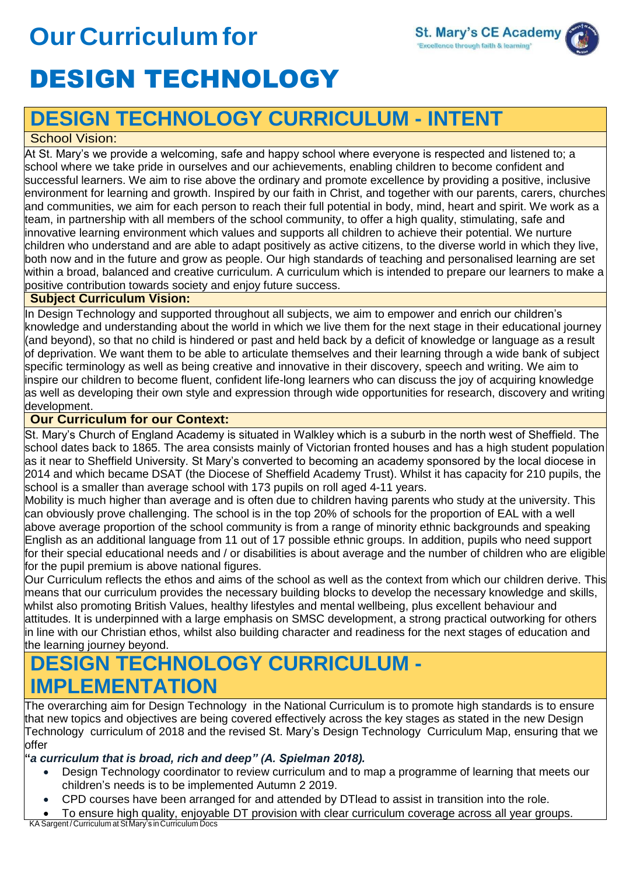# **OurCurriculumfor** DESIGN TECHNOLOGY



## **DESIGN TECHNOLOGY CURRICULUM - INTENT**

#### School Vision:

At St. Mary's we provide a welcoming, safe and happy school where everyone is respected and listened to; a school where we take pride in ourselves and our achievements, enabling children to become confident and successful learners. We aim to rise above the ordinary and promote excellence by providing a positive, inclusive environment for learning and growth. Inspired by our faith in Christ, and together with our parents, carers, churches and communities, we aim for each person to reach their full potential in body, mind, heart and spirit. We work as a team, in partnership with all members of the school community, to offer a high quality, stimulating, safe and innovative learning environment which values and supports all children to achieve their potential. We nurture children who understand and are able to adapt positively as active citizens, to the diverse world in which they live, both now and in the future and grow as people. Our high standards of teaching and personalised learning are set within a broad, balanced and creative curriculum. A curriculum which is intended to prepare our learners to make a positive contribution towards society and enjoy future success.

#### **Subject Curriculum Vision:**

In Design Technology and supported throughout all subjects, we aim to empower and enrich our children's knowledge and understanding about the world in which we live them for the next stage in their educational journey (and beyond), so that no child is hindered or past and held back by a deficit of knowledge or language as a result of deprivation. We want them to be able to articulate themselves and their learning through a wide bank of subject specific terminology as well as being creative and innovative in their discovery, speech and writing. We aim to inspire our children to become fluent, confident life-long learners who can discuss the joy of acquiring knowledge as well as developing their own style and expression through wide opportunities for research, discovery and writing development.

#### **Our Curriculum for our Context:**

St. Mary's Church of England Academy is situated in Walkley which is a suburb in the north west of Sheffield. The school dates back to 1865. The area consists mainly of Victorian fronted houses and has a high student population as it near to Sheffield University. St Mary's converted to becoming an academy sponsored by the local diocese in 2014 and which became DSAT (the Diocese of Sheffield Academy Trust). Whilst it has capacity for 210 pupils, the school is a smaller than average school with 173 pupils on roll aged 4-11 years.

Mobility is much higher than average and is often due to children having parents who study at the university. This can obviously prove challenging. The school is in the top 20% of schools for the proportion of EAL with a well above average proportion of the school community is from a range of minority ethnic backgrounds and speaking English as an additional language from 11 out of 17 possible ethnic groups. In addition, pupils who need support for their special educational needs and / or disabilities is about average and the number of children who are eligible for the pupil premium is above national figures.

Our Curriculum reflects the ethos and aims of the school as well as the context from which our children derive. This means that our curriculum provides the necessary building blocks to develop the necessary knowledge and skills, whilst also promoting British Values, healthy lifestyles and mental wellbeing, plus excellent behaviour and attitudes. It is underpinned with a large emphasis on SMSC development, a strong practical outworking for others in line with our Christian ethos, whilst also building character and readiness for the next stages of education and the learning journey beyond.

### **DESIGN TECHNOLOGY CURRICULUM - IMPLEMENTATION**

The overarching aim for Design Technology in the National Curriculum is to promote high standards is to ensure that new topics and objectives are being covered effectively across the key stages as stated in the new Design Technology curriculum of 2018 and the revised St. Mary's Design Technology Curriculum Map, ensuring that we offer

**"***a curriculum that is broad, rich and deep" (A. Spielman 2018).*

- Design Technology coordinator to review curriculum and to map a programme of learning that meets our children's needs is to be implemented Autumn 2 2019.
- CPD courses have been arranged for and attended by DTlead to assist in transition into the role.
- To ensure high quality, enjoyable DT provision with clear curriculum coverage across all year groups.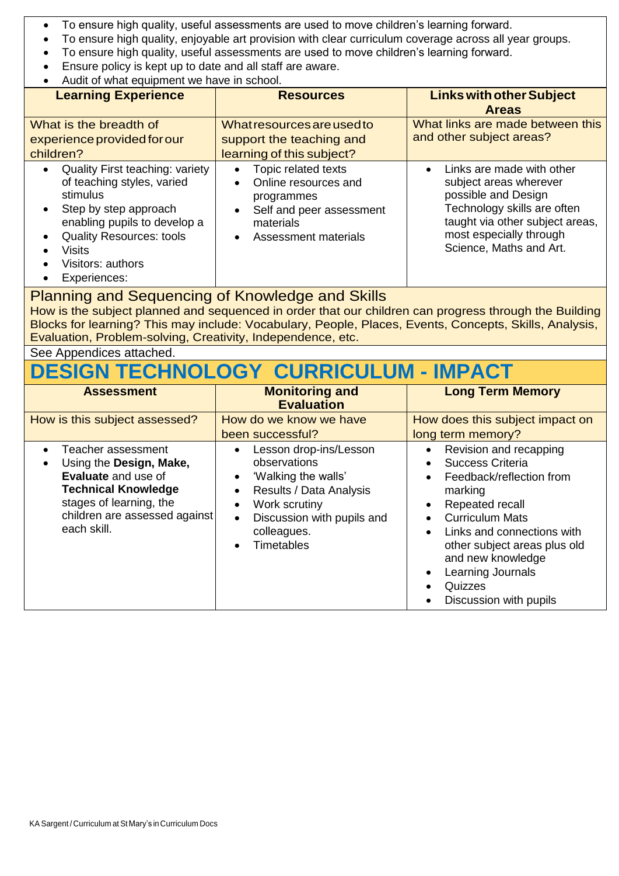- To ensure high quality, useful assessments are used to move children's learning forward.
- To ensure high quality, enjoyable art provision with clear curriculum coverage across all year groups.
- To ensure high quality, useful assessments are used to move children's learning forward.
- Ensure policy is kept up to date and all staff are aware.
- Audit of what equipment we have in school.

| <b>Learning Experience</b>                                                                                                                                                                                                                                   | <b>Resources</b>                                                                                                                                                               | <b>Links with other Subject</b><br><b>Areas</b>                                                                                                                                                    |
|--------------------------------------------------------------------------------------------------------------------------------------------------------------------------------------------------------------------------------------------------------------|--------------------------------------------------------------------------------------------------------------------------------------------------------------------------------|----------------------------------------------------------------------------------------------------------------------------------------------------------------------------------------------------|
| What is the breadth of<br>experience provided for our<br>children?                                                                                                                                                                                           | What resources are used to<br>support the teaching and<br>learning of this subject?                                                                                            | What links are made between this<br>and other subject areas?                                                                                                                                       |
| <b>Quality First teaching: variety</b><br>$\bullet$<br>of teaching styles, varied<br>stimulus<br>Step by step approach<br>$\bullet$<br>enabling pupils to develop a<br><b>Quality Resources: tools</b><br><b>Visits</b><br>Visitors: authors<br>Experiences: | Topic related texts<br>$\bullet$<br>Online resources and<br>$\bullet$<br>programmes<br>Self and peer assessment<br>$\bullet$<br>materials<br>Assessment materials<br>$\bullet$ | Links are made with other<br>subject areas wherever<br>possible and Design<br>Technology skills are often<br>taught via other subject areas,<br>most especially through<br>Science, Maths and Art. |

#### Planning and Sequencing of Knowledge and Skills

How is the subject planned and sequenced in order that our children can progress through the Building Blocks for learning? This may include: Vocabulary, People, Places, Events, Concepts, Skills, Analysis, Evaluation, Problem-solving, Creativity, Independence, etc.

See Appendices attached.

### **DESIGN TECHNOLOGY CURRICULUM - IMPACT**

| <b>Assessment</b>                                                                                                                                                                    | <b>Monitoring and</b><br><b>Evaluation</b>                                                                                                                                                                                                         | <b>Long Term Memory</b>                                                                                                                                                                                                                                                     |
|--------------------------------------------------------------------------------------------------------------------------------------------------------------------------------------|----------------------------------------------------------------------------------------------------------------------------------------------------------------------------------------------------------------------------------------------------|-----------------------------------------------------------------------------------------------------------------------------------------------------------------------------------------------------------------------------------------------------------------------------|
| How is this subject assessed?                                                                                                                                                        | How do we know we have<br>been successful?                                                                                                                                                                                                         | How does this subject impact on<br>long term memory?                                                                                                                                                                                                                        |
| Teacher assessment<br>Using the Design, Make,<br><b>Evaluate</b> and use of<br><b>Technical Knowledge</b><br>stages of learning, the<br>children are assessed against<br>each skill. | Lesson drop-ins/Lesson<br>$\bullet$<br>observations<br>'Walking the walls'<br>$\bullet$<br>Results / Data Analysis<br>$\bullet$<br>Work scrutiny<br>$\bullet$<br>Discussion with pupils and<br>$\bullet$<br>colleagues.<br>Timetables<br>$\bullet$ | Revision and recapping<br>Success Criteria<br>Feedback/reflection from<br>marking<br>Repeated recall<br><b>Curriculum Mats</b><br>Links and connections with<br>other subject areas plus old<br>and new knowledge<br>Learning Journals<br>Quizzes<br>Discussion with pupils |